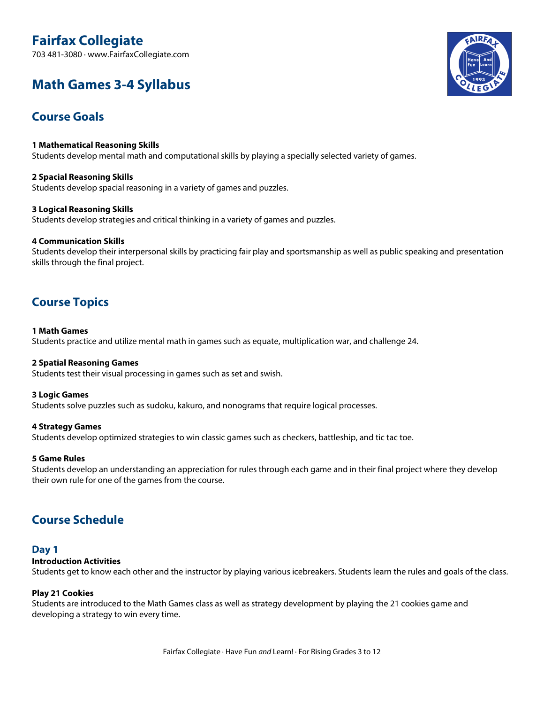# **Fairfax Collegiate**

703 481-3080 · www.FairfaxCollegiate.com

# **Math Games 3-4 Syllabus**

# **Course Goals**

**1 Mathematical Reasoning Skills** Students develop mental math and computational skills by playing a specially selected variety of games.

**2 Spacial Reasoning Skills** Students develop spacial reasoning in a variety of games and puzzles.

#### **3 Logical Reasoning Skills**

Students develop strategies and critical thinking in a variety of games and puzzles.

#### **4 Communication Skills**

Students develop their interpersonal skills by practicing fair play and sportsmanship as well as public speaking and presentation skills through the final project.

# **Course Topics**

#### **1 Math Games**

Students practice and utilize mental math in games such as equate, multiplication war, and challenge 24.

#### **2 Spatial Reasoning Games**

Students test their visual processing in games such as set and swish.

#### **3 Logic Games**

Students solve puzzles such as sudoku, kakuro, and nonograms that require logical processes.

#### **4 Strategy Games**

Students develop optimized strategies to win classic games such as checkers, battleship, and tic tac toe.

#### **5 Game Rules**

Students develop an understanding an appreciation for rules through each game and in their final project where they develop their own rule for one of the games from the course.

# **Course Schedule**

#### **Day 1**

#### **Introduction Activities**

Students get to know each other and the instructor by playing various icebreakers. Students learn the rules and goals of the class.

#### **Play 21 Cookies**

Students are introduced to the Math Games class as well as strategy development by playing the 21 cookies game and developing a strategy to win every time.

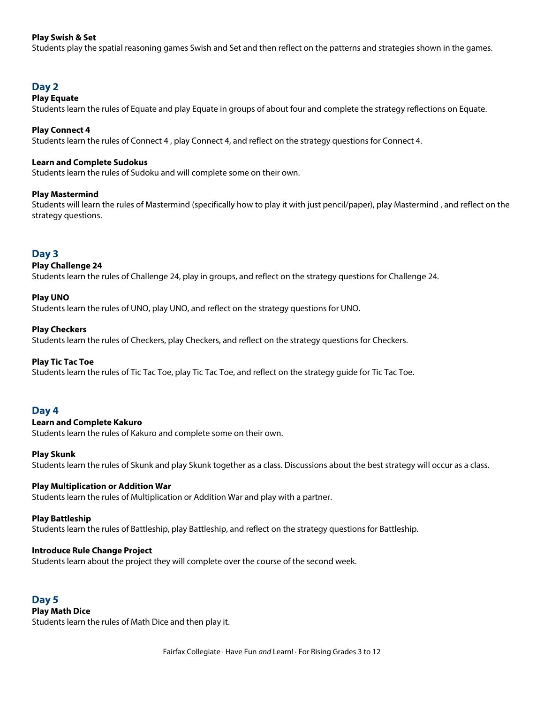#### **Play Swish & Set**

Students play the spatial reasoning games Swish and Set and then reflect on the patterns and strategies shown in the games.

### **Day 2**

#### **Play Equate**

Students learn the rules of Equate and play Equate in groups of about four and complete the strategy reflections on Equate.

#### **Play Connect 4**

Students learn the rules of Connect 4 , play Connect 4, and reflect on the strategy questions for Connect 4.

#### **Learn and Complete Sudokus**

Students learn the rules of Sudoku and will complete some on their own.

#### **Play Mastermind**

Students will learn the rules of Mastermind (specifically how to play it with just pencil/paper), play Mastermind , and reflect on the strategy questions.

#### **Day 3**

#### **Play Challenge 24**

Students learn the rules of Challenge 24, play in groups, and reflect on the strategy questions for Challenge 24.

#### **Play UNO**

Students learn the rules of UNO, play UNO, and reflect on the strategy questions for UNO.

#### **Play Checkers**

Students learn the rules of Checkers, play Checkers, and reflect on the strategy questions for Checkers.

#### **Play Tic Tac Toe**

Students learn the rules of Tic Tac Toe, play Tic Tac Toe, and reflect on the strategy guide for Tic Tac Toe.

#### **Day 4**

#### **Learn and Complete Kakuro**

Students learn the rules of Kakuro and complete some on their own.

#### **Play Skunk**

Students learn the rules of Skunk and play Skunk together as a class. Discussions about the best strategy will occur as a class.

#### **Play Multiplication or Addition War**

Students learn the rules of Multiplication or Addition War and play with a partner.

#### **Play Battleship**

Students learn the rules of Battleship, play Battleship, and reflect on the strategy questions for Battleship.

#### **Introduce Rule Change Project**

Students learn about the project they will complete over the course of the second week.

#### **Day 5 Play Math Dice**

Students learn the rules of Math Dice and then play it.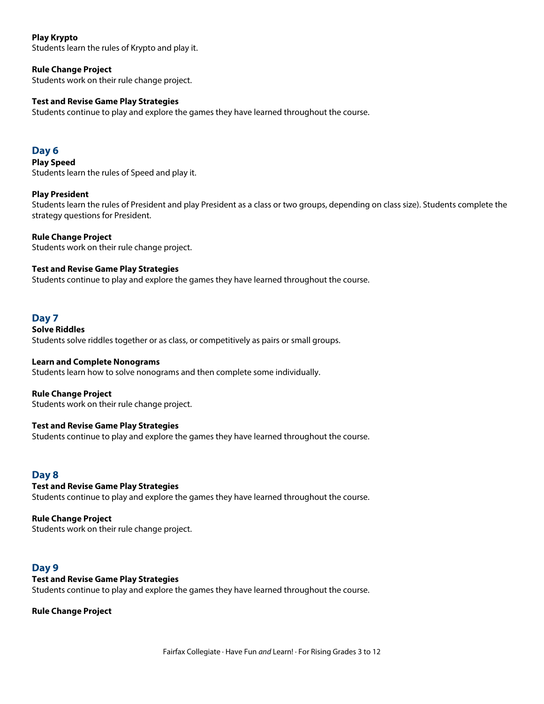#### **Play Krypto**

Students learn the rules of Krypto and play it.

# **Rule Change Project**

Students work on their rule change project.

# **Test and Revise Game Play Strategies**

Students continue to play and explore the games they have learned throughout the course.

### **Day 6**

**Play Speed** Students learn the rules of Speed and play it.

#### **Play President**

Students learn the rules of President and play President as a class or two groups, depending on class size). Students complete the strategy questions for President.

#### **Rule Change Project**

Students work on their rule change project.

#### **Test and Revise Game Play Strategies**

Students continue to play and explore the games they have learned throughout the course.

## **Day 7**

**Solve Riddles** Students solve riddles together or as class, or competitively as pairs or small groups.

#### **Learn and Complete Nonograms**

Students learn how to solve nonograms and then complete some individually.

#### **Rule Change Project**

Students work on their rule change project.

#### **Test and Revise Game Play Strategies**

Students continue to play and explore the games they have learned throughout the course.

## **Day 8**

**Test and Revise Game Play Strategies** Students continue to play and explore the games they have learned throughout the course.

#### **Rule Change Project**

Students work on their rule change project.

## **Day 9**

#### **Test and Revise Game Play Strategies**

Students continue to play and explore the games they have learned throughout the course.

#### **Rule Change Project**